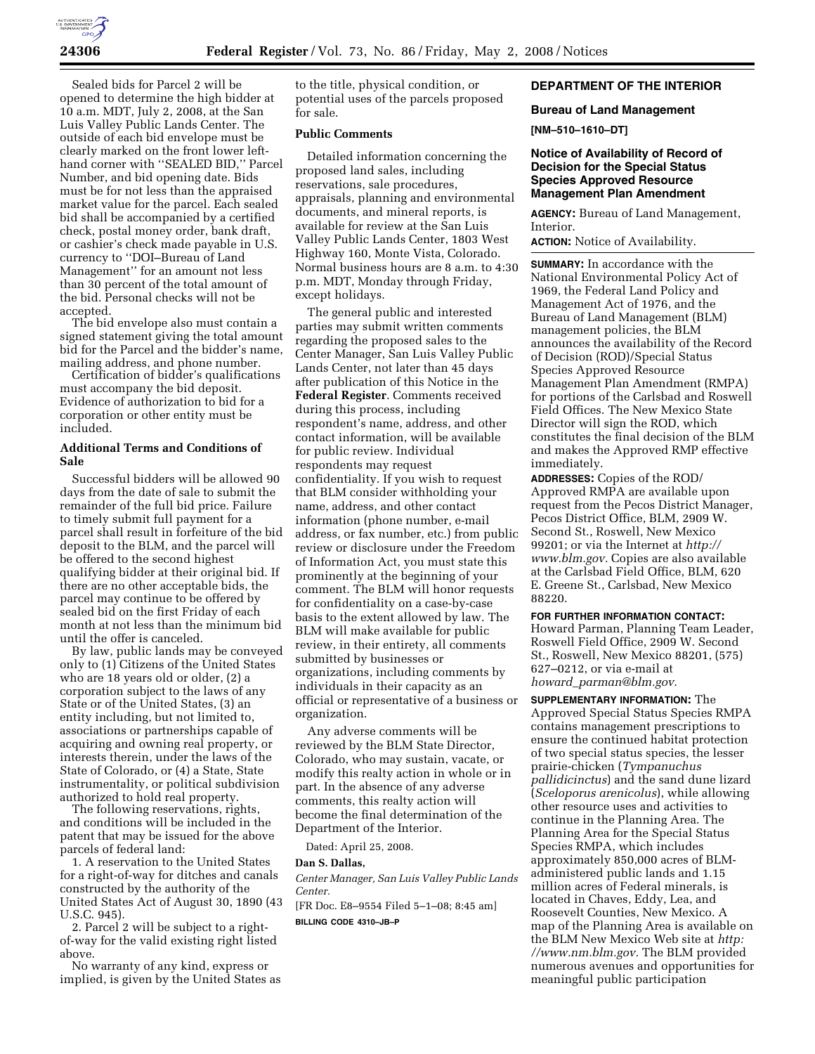

Sealed bids for Parcel 2 will be opened to determine the high bidder at 10 a.m. MDT, July 2, 2008, at the San Luis Valley Public Lands Center. The outside of each bid envelope must be clearly marked on the front lower lefthand corner with ''SEALED BID,'' Parcel Number, and bid opening date. Bids must be for not less than the appraised market value for the parcel. Each sealed bid shall be accompanied by a certified check, postal money order, bank draft, or cashier's check made payable in U.S. currency to ''DOI–Bureau of Land Management'' for an amount not less than 30 percent of the total amount of the bid. Personal checks will not be accepted.

The bid envelope also must contain a signed statement giving the total amount bid for the Parcel and the bidder's name, mailing address, and phone number.

Certification of bidder's qualifications must accompany the bid deposit. Evidence of authorization to bid for a corporation or other entity must be included.

# **Additional Terms and Conditions of Sale**

Successful bidders will be allowed 90 days from the date of sale to submit the remainder of the full bid price. Failure to timely submit full payment for a parcel shall result in forfeiture of the bid deposit to the BLM, and the parcel will be offered to the second highest qualifying bidder at their original bid. If there are no other acceptable bids, the parcel may continue to be offered by sealed bid on the first Friday of each month at not less than the minimum bid until the offer is canceled.

By law, public lands may be conveyed only to (1) Citizens of the United States who are 18 years old or older, (2) a corporation subject to the laws of any State or of the United States, (3) an entity including, but not limited to, associations or partnerships capable of acquiring and owning real property, or interests therein, under the laws of the State of Colorado, or (4) a State, State instrumentality, or political subdivision authorized to hold real property.

The following reservations, rights, and conditions will be included in the patent that may be issued for the above parcels of federal land:

1. A reservation to the United States for a right-of-way for ditches and canals constructed by the authority of the United States Act of August 30, 1890 (43 U.S.C. 945).

2. Parcel 2 will be subject to a rightof-way for the valid existing right listed above.

No warranty of any kind, express or implied, is given by the United States as to the title, physical condition, or potential uses of the parcels proposed for sale.

# **Public Comments**

Detailed information concerning the proposed land sales, including reservations, sale procedures, appraisals, planning and environmental documents, and mineral reports, is available for review at the San Luis Valley Public Lands Center, 1803 West Highway 160, Monte Vista, Colorado. Normal business hours are 8 a.m. to 4:30 p.m. MDT, Monday through Friday, except holidays.

The general public and interested parties may submit written comments regarding the proposed sales to the Center Manager, San Luis Valley Public Lands Center, not later than 45 days after publication of this Notice in the **Federal Register**. Comments received during this process, including respondent's name, address, and other contact information, will be available for public review. Individual respondents may request confidentiality. If you wish to request that BLM consider withholding your name, address, and other contact information (phone number, e-mail address, or fax number, etc.) from public review or disclosure under the Freedom of Information Act, you must state this prominently at the beginning of your comment. The BLM will honor requests for confidentiality on a case-by-case basis to the extent allowed by law. The BLM will make available for public review, in their entirety, all comments submitted by businesses or organizations, including comments by individuals in their capacity as an official or representative of a business or organization.

Any adverse comments will be reviewed by the BLM State Director, Colorado, who may sustain, vacate, or modify this realty action in whole or in part. In the absence of any adverse comments, this realty action will become the final determination of the Department of the Interior.

Dated: April 25, 2008.

### **Dan S. Dallas,**

*Center Manager, San Luis Valley Public Lands Center.* 

[FR Doc. E8–9554 Filed 5–1–08; 8:45 am]

**BILLING CODE 4310–JB–P** 

# **DEPARTMENT OF THE INTERIOR**

### **Bureau of Land Management**

## **[NM–510–1610–DT]**

# **Notice of Availability of Record of Decision for the Special Status Species Approved Resource Management Plan Amendment**

**AGENCY:** Bureau of Land Management, Interior.

**ACTION:** Notice of Availability.

**SUMMARY:** In accordance with the National Environmental Policy Act of 1969, the Federal Land Policy and Management Act of 1976, and the Bureau of Land Management (BLM) management policies, the BLM announces the availability of the Record of Decision (ROD)/Special Status Species Approved Resource Management Plan Amendment (RMPA) for portions of the Carlsbad and Roswell Field Offices. The New Mexico State Director will sign the ROD, which constitutes the final decision of the BLM and makes the Approved RMP effective immediately.

**ADDRESSES:** Copies of the ROD/ Approved RMPA are available upon request from the Pecos District Manager, Pecos District Office, BLM, 2909 W. Second St., Roswell, New Mexico 99201; or via the Internet at *http:// www.blm.gov.* Copies are also available at the Carlsbad Field Office, BLM, 620 E. Greene St., Carlsbad, New Mexico 88220.

**FOR FURTHER INFORMATION CONTACT:**  Howard Parman, Planning Team Leader, Roswell Field Office, 2909 W. Second St., Roswell, New Mexico 88201, (575) 627–0212, or via e-mail at *howard*\_*parman@blm.gov*.

**SUPPLEMENTARY INFORMATION:** The Approved Special Status Species RMPA contains management prescriptions to ensure the continued habitat protection of two special status species, the lesser prairie-chicken (*Tympanuchus pallidicinctus*) and the sand dune lizard (*Sceloporus arenicolus*), while allowing other resource uses and activities to continue in the Planning Area. The Planning Area for the Special Status Species RMPA, which includes approximately 850,000 acres of BLMadministered public lands and 1.15 million acres of Federal minerals, is located in Chaves, Eddy, Lea, and Roosevelt Counties, New Mexico. A map of the Planning Area is available on the BLM New Mexico Web site at *http: //www.nm.blm.gov.* The BLM provided numerous avenues and opportunities for meaningful public participation